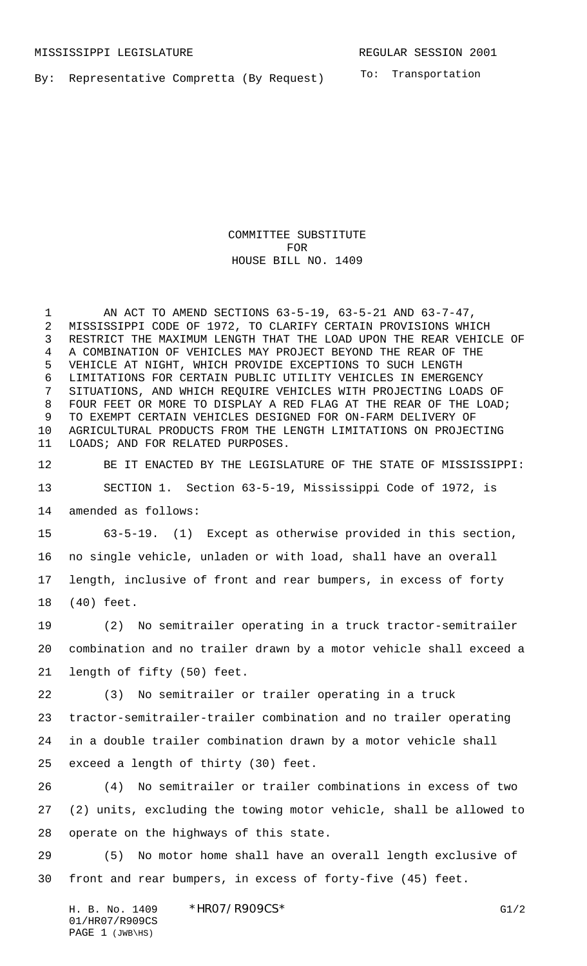By: Representative Compretta (By Request)

To: Transportation

COMMITTEE SUBSTITUTE FOR HOUSE BILL NO. 1409

 AN ACT TO AMEND SECTIONS 63-5-19, 63-5-21 AND 63-7-47, MISSISSIPPI CODE OF 1972, TO CLARIFY CERTAIN PROVISIONS WHICH RESTRICT THE MAXIMUM LENGTH THAT THE LOAD UPON THE REAR VEHICLE OF A COMBINATION OF VEHICLES MAY PROJECT BEYOND THE REAR OF THE VEHICLE AT NIGHT, WHICH PROVIDE EXCEPTIONS TO SUCH LENGTH LIMITATIONS FOR CERTAIN PUBLIC UTILITY VEHICLES IN EMERGENCY SITUATIONS, AND WHICH REQUIRE VEHICLES WITH PROJECTING LOADS OF FOUR FEET OR MORE TO DISPLAY A RED FLAG AT THE REAR OF THE LOAD; TO EXEMPT CERTAIN VEHICLES DESIGNED FOR ON-FARM DELIVERY OF AGRICULTURAL PRODUCTS FROM THE LENGTH LIMITATIONS ON PROJECTING LOADS; AND FOR RELATED PURPOSES.

BE IT ENACTED BY THE LEGISLATURE OF THE STATE OF MISSISSIPPI:

 SECTION 1. Section 63-5-19, Mississippi Code of 1972, is amended as follows:

 63-5-19. (1) Except as otherwise provided in this section, no single vehicle, unladen or with load, shall have an overall length, inclusive of front and rear bumpers, in excess of forty (40) feet.

 (2) No semitrailer operating in a truck tractor-semitrailer combination and no trailer drawn by a motor vehicle shall exceed a length of fifty (50) feet.

 (3) No semitrailer or trailer operating in a truck tractor-semitrailer-trailer combination and no trailer operating in a double trailer combination drawn by a motor vehicle shall exceed a length of thirty (30) feet.

 (4) No semitrailer or trailer combinations in excess of two (2) units, excluding the towing motor vehicle, shall be allowed to operate on the highways of this state.

 (5) No motor home shall have an overall length exclusive of front and rear bumpers, in excess of forty-five (45) feet.

H. B. No. 1409 \* HRO7/R909CS\* G1/2 01/HR07/R909CS PAGE 1 (JWB\HS)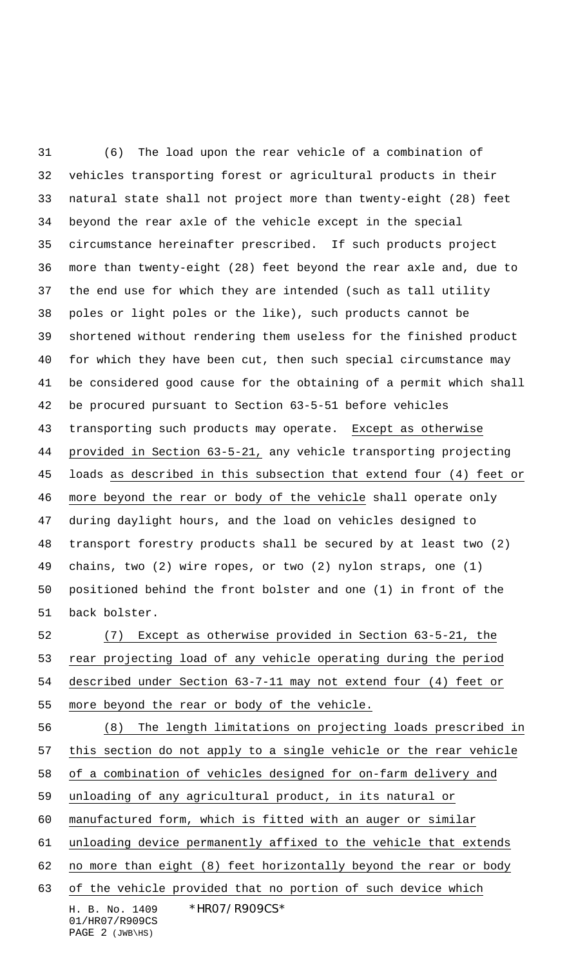(6) The load upon the rear vehicle of a combination of vehicles transporting forest or agricultural products in their natural state shall not project more than twenty-eight (28) feet beyond the rear axle of the vehicle except in the special circumstance hereinafter prescribed. If such products project more than twenty-eight (28) feet beyond the rear axle and, due to the end use for which they are intended (such as tall utility poles or light poles or the like), such products cannot be shortened without rendering them useless for the finished product for which they have been cut, then such special circumstance may be considered good cause for the obtaining of a permit which shall be procured pursuant to Section 63-5-51 before vehicles 43 transporting such products may operate. Except as otherwise provided in Section 63-5-21, any vehicle transporting projecting loads as described in this subsection that extend four (4) feet or more beyond the rear or body of the vehicle shall operate only during daylight hours, and the load on vehicles designed to transport forestry products shall be secured by at least two (2) chains, two (2) wire ropes, or two (2) nylon straps, one (1) positioned behind the front bolster and one (1) in front of the back bolster.

 (7) Except as otherwise provided in Section 63-5-21, the rear projecting load of any vehicle operating during the period described under Section 63-7-11 may not extend four (4) feet or more beyond the rear or body of the vehicle.

H. B. No. 1409 \*HR07/R909CS\* (8) The length limitations on projecting loads prescribed in this section do not apply to a single vehicle or the rear vehicle of a combination of vehicles designed for on-farm delivery and unloading of any agricultural product, in its natural or manufactured form, which is fitted with an auger or similar unloading device permanently affixed to the vehicle that extends 62 no more than eight (8) feet horizontally beyond the rear or body of the vehicle provided that no portion of such device which